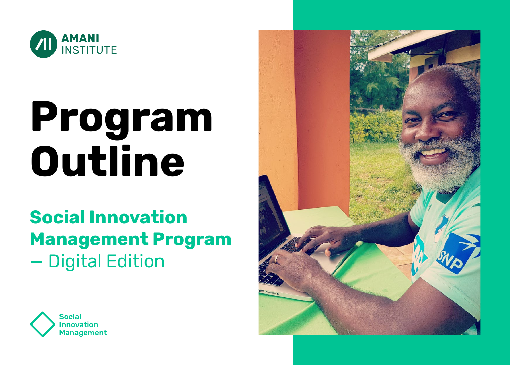

# **Program Outline**

## **Social Innovation Management Program** — Digital Edition



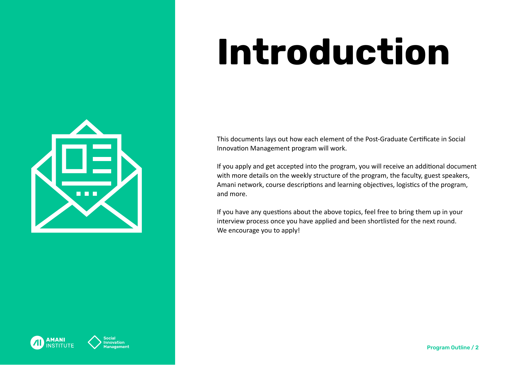# 88 E

## **Introduction**

This documents lays out how each element of the Post-Graduate Certificate in Social Innovation Management program will work.

If you apply and get accepted into the program, you will receive an additional document with more details on the weekly structure of the program, the faculty, guest speakers, Amani network, course descriptions and learning objectives, logistics of the program, and more.

If you have any questions about the above topics, feel free to bring them up in your interview process once you have applied and been shortlisted for the next round. We encourage you to apply!



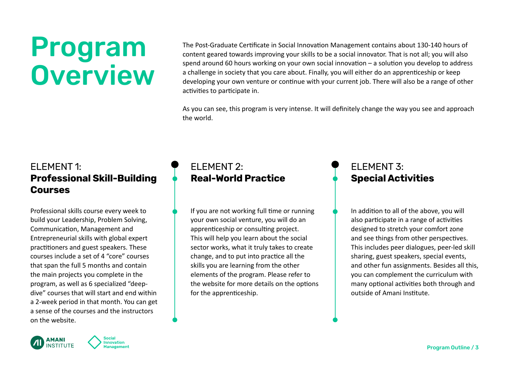## Program **Overview**

The Post-Graduate Certificate in Social Innovation Management contains about 130-140 hours of content geared towards improving your skills to be a social innovator. That is not all; you will also spend around 60 hours working on your own social innovation – a solution you develop to address a challenge in society that you care about. Finally, you will either do an apprenticeship or keep developing your own venture or continue with your current job. There will also be a range of other activities to participate in.

As you can see, this program is very intense. It will definitely change the way you see and approach the world.

### ELEMENT 1: **Professional Skill-Building Courses**

Professional skills course every week to build your Leadership, Problem Solving, Communication, Management and Entrepreneurial skills with global expert practitioners and guest speakers. These courses include a set of 4 "core" courses that span the full 5 months and contain the main projects you complete in the program, as well as 6 specialized "deepdive" courses that will start and end within a 2-week period in that month. You can get a sense of the courses and the instructors on the website.

## ELEMENT 2: **Real-World Practice**

If you are not working full time or running your own social venture, you will do an apprenticeship or consulting project. This will help you learn about the social sector works, what it truly takes to create change, and to put into practice all the skills you are learning from the other elements of the program. Please refer to the website for more details on the options for the apprenticeship.

## ELEMENT 3: **Special Activities**

In addition to all of the above, you will also participate in a range of activities designed to stretch your comfort zone and see things from other perspectives. This includes peer dialogues, peer-led skill sharing, guest speakers, special events, and other fun assignments. Besides all this, you can complement the curriculum with many optional activities both through and outside of Amani Institute.



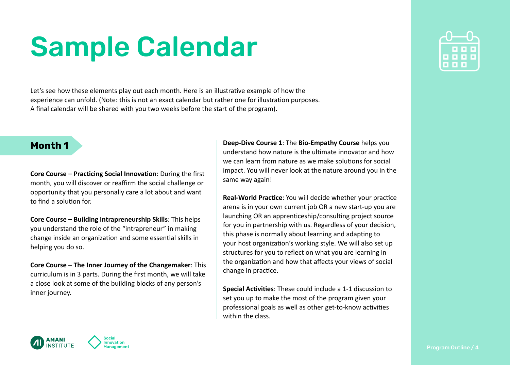Let's see how these elements play out each month. Here is an illustrative example of how the experience can unfold. (Note: this is not an exact calendar but rather one for illustration purposes. A final calendar will be shared with you two weeks before the start of the program).

#### **Month 1**

**Core Course – Practicing Social Innovation**: During the first month, you will discover or reaffirm the social challenge or opportunity that you personally care a lot about and want to find a solution for.

**Core Course – Building Intrapreneurship Skills**: This helps you understand the role of the "intrapreneur" in making change inside an organization and some essential skills in helping you do so.

**Core Course – The Inner Journey of the Changemaker**: This curriculum is in 3 parts. During the first month, we will take a close look at some of the building blocks of any person's inner journey.

**Deep-Dive Course 1**: The **Bio-Empathy Course** helps you understand how nature is the ultimate innovator and how we can learn from nature as we make solutions for social impact. You will never look at the nature around you in the same way again!

**Real-World Practice**: You will decide whether your practice arena is in your own current job OR a new start-up you are launching OR an apprenticeship/consulting project source for you in partnership with us. Regardless of your decision, this phase is normally about learning and adapting to your host organization's working style. We will also set up structures for you to reflect on what you are learning in the organization and how that affects your views of social change in practice.

**Special Activities**: These could include a 1-1 discussion to set you up to make the most of the program given your professional goals as well as other get-to-know activities within the class.

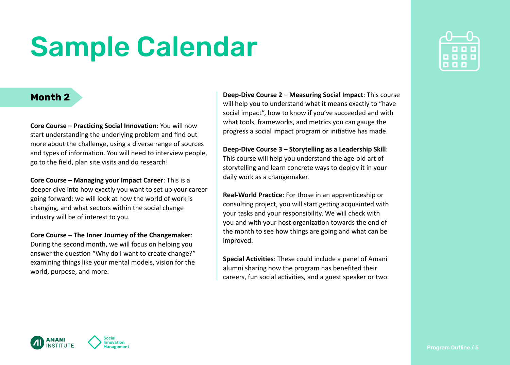#### **Month 2**

**Core Course – Practicing Social Innovation**: You will now start understanding the underlying problem and find out more about the challenge, using a diverse range of sources and types of information. You will need to interview people, go to the field, plan site visits and do research!

**Core Course – Managing your Impact Career**: This is a deeper dive into how exactly you want to set up your career going forward: we will look at how the world of work is changing, and what sectors within the social change industry will be of interest to you.

**Core Course – The Inner Journey of the Changemaker**: During the second month, we will focus on helping you answer the question "Why do I want to create change?" examining things like your mental models, vision for the world, purpose, and more.

**Deep-Dive Course 2 – Measuring Social Impact**: This course will help you to understand what it means exactly to "have social impact", how to know if you've succeeded and with what tools, frameworks, and metrics you can gauge the progress a social impact program or initiative has made.

**Deep-Dive Course 3 – Storytelling as a Leadership Skill**: This course will help you understand the age-old art of storytelling and learn concrete ways to deploy it in your daily work as a changemaker.

**Real-World Practice**: For those in an apprenticeship or consulting project, you will start getting acquainted with your tasks and your responsibility. We will check with you and with your host organization towards the end of the month to see how things are going and what can be improved.

**Special Activities**: These could include a panel of Amani alumni sharing how the program has benefited their careers, fun social activities, and a guest speaker or two.



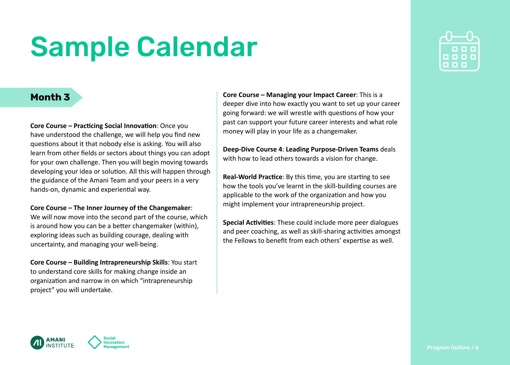#### **Month 3**

**Core Course – Practicing Social Innovation**: Once you have understood the challenge, we will help you find new questions about it that nobody else is asking. You will also learn from other fields or sectors about things you can adopt for your own challenge. Then you will begin moving towards developing your idea or solution. All this will happen through the guidance of the Amani Team and your peers in a very hands-on, dynamic and experiential way.

#### **Core Course – The Inner Journey of the Changemaker**:

We will now move into the second part of the course, which is around how you can be a better changemaker (within), exploring ideas such as building courage, dealing with uncertainty, and managing your well-being.

**Core Course – Building Intrapreneurship Skills**: You start to understand core skills for making change inside an organization and narrow in on which "intrapreneurship project" you will undertake.

movation

**Core Course – Managing your Impact Career**: This is a deeper dive into how exactly you want to set up your career going forward: we will wrestle with questions of how your past can support your future career interests and what role money will play in your life as a changemaker.

**Deep-Dive Course 4**: **Leading Purpose-Driven Teams** deals with how to lead others towards a vision for change.

**Real-World Practice**: By this time, you are starting to see how the tools you've learnt in the skill-building courses are applicable to the work of the organization and how you might implement your intrapreneurship project.

**Special Activities**: These could include more peer dialogues and peer coaching, as well as skill-sharing activities amongst the Fellows to benefit from each others' expertise as well.



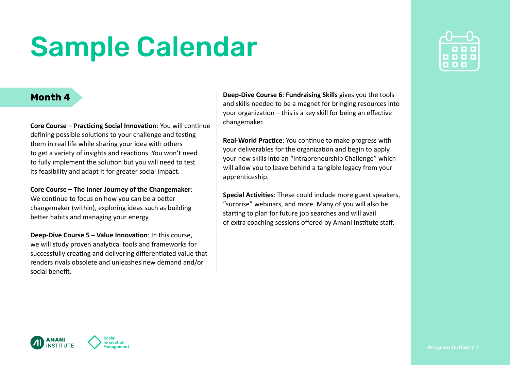#### **Month 4**

AMANI

**ISTITLITE** 

**Core Course – Practicing Social Innovation**: You will continue defining possible solutions to your challenge and testing them in real life while sharing your idea with others to get a variety of insights and reactions. You won't need to fully implement the solution but you will need to test its feasibility and adapt it for greater social impact.

**Core Course – The Inner Journey of the Changemaker**: We continue to focus on how you can be a better changemaker (within), exploring ideas such as building better habits and managing your energy.

**Deep-Dive Course 5 – Value Innovation**: In this course, we will study proven analytical tools and frameworks for successfully creating and delivering differentiated value that renders rivals obsolete and unleashes new demand and/or social benefit.

nnovation

**Deep-Dive Course 6**: **Fundraising Skills** gives you the tools and skills needed to be a magnet for bringing resources into your organization – this is a key skill for being an effective changemaker.

**Real-World Practice**: You continue to make progress with your deliverables for the organization and begin to apply your new skills into an "Intrapreneurship Challenge" which will allow you to leave behind a tangible legacy from your apprenticeship.

**Special Activities**: These could include more guest speakers, "surprise" webinars, and more. Many of you will also be starting to plan for future job searches and will avail of extra coaching sessions offered by Amani Institute staff.

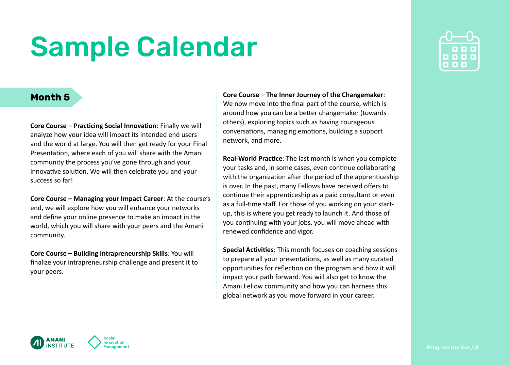#### **Month 5**

**Core Course – Practicing Social Innovation**: Finally we will analyze how your idea will impact its intended end users and the world at large. You will then get ready for your Final Presentation, where each of you will share with the Amani community the process you've gone through and your innovative solution. We will then celebrate you and your success so far!

**Core Course – Managing your Impact Career**: At the course's end, we will explore how you will enhance your networks and define your online presence to make an impact in the world, which you will share with your peers and the Amani community.

**Core Course – Building Intrapreneurship Skills**: You will finalize your intrapreneurship challenge and present it to your peers.

**Core Course – The Inner Journey of the Changemaker**: We now move into the final part of the course, which is around how you can be a better changemaker (towards others), exploring topics such as having courageous conversations, managing emotions, building a support network, and more.

**Real-World Practice**: The last month is when you complete your tasks and, in some cases, even continue collaborating with the organization after the period of the apprenticeship is over. In the past, many Fellows have received offers to continue their apprenticeship as a paid consultant or even as a full-time staff. For those of you working on your startup, this is where you get ready to launch it. And those of you continuing with your jobs, you will move ahead with renewed confidence and vigor.

**Special Activities**: This month focuses on coaching sessions to prepare all your presentations, as well as many curated opportunities for reflection on the program and how it will impact your path forward. You will also get to know the Amani Fellow community and how you can harness this global network as you move forward in your career.